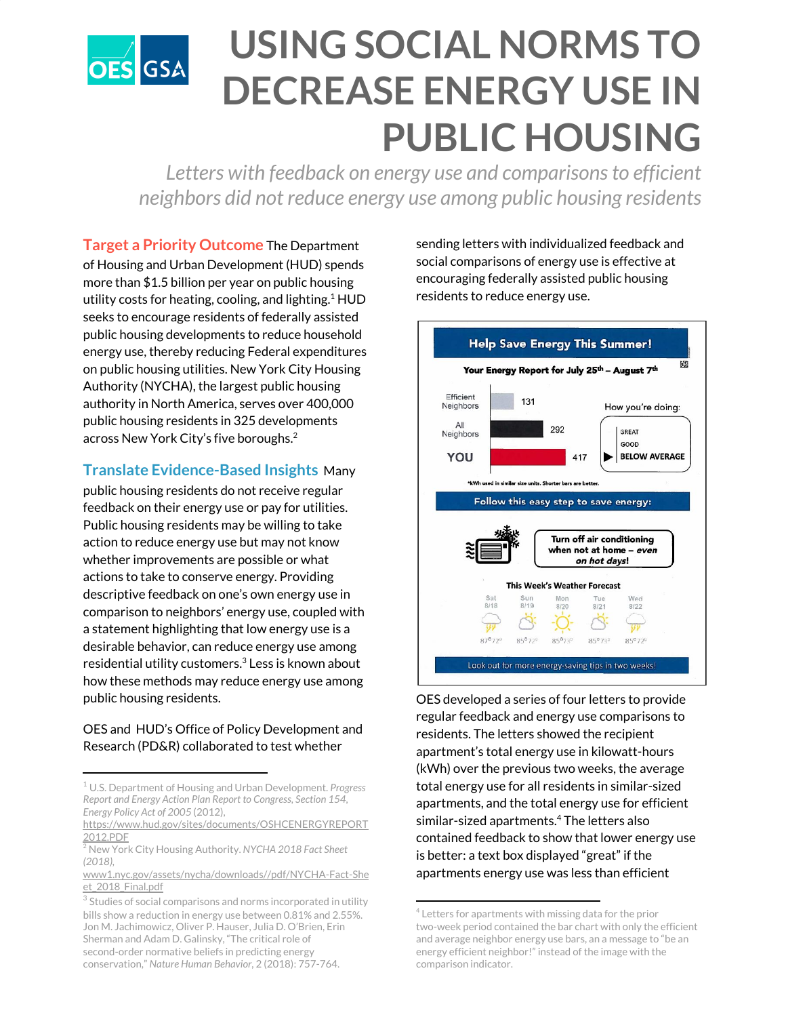

## **USING SOCIAL NORMS TO DECREASE ENERGY USE IN PUBLIC HOUSING**

*Letters with feedback on energy use and comparisonsto efficient neighbors did not reduce energy use among public housing residents*

**Target a Priority Outcome** The Department of Housing and Urban Development (HUD) spends more than \$1.5 billion per year on public housing utility costs for heating, cooling, and lighting. <sup>1</sup> HUD seeks to encourage residents of federally assisted public housing developments to reduce household energy use, thereby reducing Federal expenditures on public housing utilities. New York City Housing Authority (NYCHA), the largest public housing

authority in North America, serves over 400,000 public housing residents in 325 developments across New York City's five boroughs. 2

## **Translate Evidence-Based Insights** Many

public housing residents do not receive regular feedback on their energy use or pay for utilities. Public housing residents may be willing to take action to reduce energy use but may not know whether improvements are possible or what actions to take to conserve energy. Providing descriptive feedback on one's own energy use in comparison to neighbors' energy use, coupled with a statement highlighting that low energy use is a desirable behavior, can reduce energy use among residential utility customers.<sup>3</sup> Less is known about how these methods may reduce energy use among public housing residents.

## OES and HUD's Office of Policy Development and Research (PD&R) collaborated to test whether

sending letters with individualized feedback and social comparisons of energy use is effective at encouraging federally assisted public housing residents to reduce energy use.



OES developed a series of four letters to provide regular feedback and energy use comparisons to residents. The letters showed the recipient apartment's total energy use in kilowatt-hours (kWh) over the previous two weeks, the average total energy use for all residents in similar-sized apartments, and the total energy use for efficient similar-sized apartments.<sup>4</sup> The letters also contained feedback to show that lower energy use is better: a text box displayed "great" if the apartments energy use was less than efficient

<sup>1</sup> U.S. Department of Housing and Urban Development. *Progress Report and Energy Action Plan Report to Congress, Section 154, Energy Policy Act of 2005* (2012),

[https://www.hud.gov/sites/documents/OSHCENERGYREPORT](https://www.hud.gov/sites/documents/OSHCENERGYREPORT2012.PDF) [2012.PDF](https://www.hud.gov/sites/documents/OSHCENERGYREPORT2012.PDF)

<sup>2</sup> New York City Housing Authority. *NYCHA 2018 Fact Sheet (2018),*

[www1.nyc.gov/assets/nycha/downloads//pdf/NYCHA-Fact-She](https://www1.nyc.gov/assets/nycha/downloads//pdf/NYCHA-Fact-Sheet_2018_Final.pdf) [et\\_2018\\_Final.pdf](https://www1.nyc.gov/assets/nycha/downloads//pdf/NYCHA-Fact-Sheet_2018_Final.pdf)

 $3$  Studies of social comparisons and norms incorporated in utility bills show a reduction in energy use between 0.81% and 2.55%. Jon M. Jachimowicz, Oliver P. Hauser, Julia D. O'Brien, Erin Sherman and Adam D. Galinsky, "The critical role of second-order normative beliefs in predicting energy conservation," *Nature Human Behavior*, 2 (2018): 757-764.

 $4$  Letters for apartments with missing data for the prior two-week period contained the bar chart with only the efficient and average neighbor energy use bars, an a message to "be an energy efficient neighbor!" instead of the image with the comparison indicator.